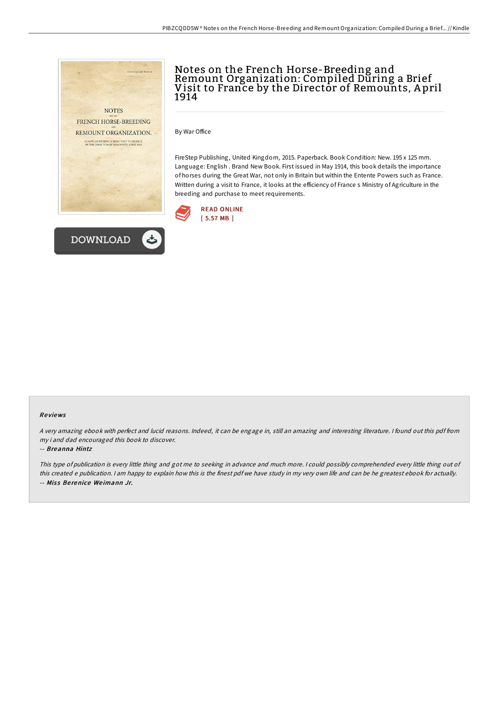



## Notes on the French Horse-Breeding and Remount Organization: Compiled During a Brief Visit to France by the Director of Remounts, A pril 1914

By War Office

FireStep Publishing, United Kingdom, 2015. Paperback. Book Condition: New. 195 x 125 mm. Language: English . Brand New Book. First issued in May 1914, this book details the importance of horses during the Great War, not only in Britain but within the Entente Powers such as France. Written during a visit to France, it looks at the efficiency of France s Ministry of Agriculture in the breeding and purchase to meet requirements.



## Re views

<sup>A</sup> very amazing ebook with perfect and lucid reasons. Indeed, it can be engage in, still an amazing and interesting literature. <sup>I</sup> found out this pdf from my i and dad encouraged this book to discover.

## -- Breanna Hintz

This type of publication is every little thing and got me to seeking in advance and much more. <sup>I</sup> could possibly comprehended every little thing out of this created <sup>e</sup> publication. <sup>I</sup> am happy to explain how this is the finest pdf we have study in my very own life and can be he greatest ebook for actually. -- Miss Berenice Weimann Jr.